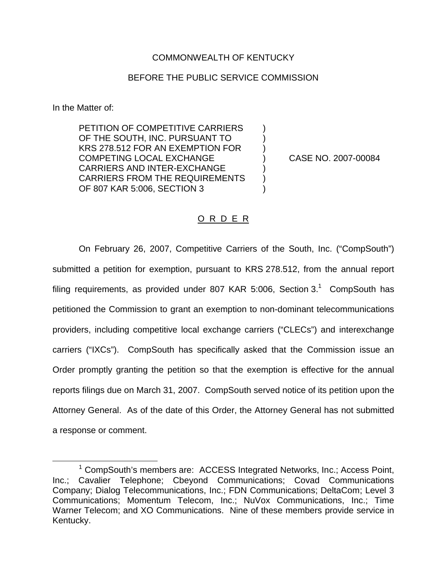## COMMONWEALTH OF KENTUCKY

## BEFORE THE PUBLIC SERVICE COMMISSION

In the Matter of:

PETITION OF COMPETITIVE CARRIERS ) OF THE SOUTH, INC. PURSUANT TO ) KRS 278.512 FOR AN EXEMPTION FOR ) COMPETING LOCAL EXCHANGE ) CASE NO. 2007-00084 CARRIERS AND INTER-EXCHANGE CARRIERS FROM THE REQUIREMENTS OF 807 KAR 5:006, SECTION 3 )

## O R D E R

On February 26, 2007, Competitive Carriers of the South, Inc. ("CompSouth") submitted a petition for exemption, pursuant to KRS 278.512, from the annual report filing requirements, as provided under 807 KAR 5:006, Section  $3<sup>1</sup>$  CompSouth has petitioned the Commission to grant an exemption to non-dominant telecommunications providers, including competitive local exchange carriers ("CLECs") and interexchange carriers ("IXCs"). CompSouth has specifically asked that the Commission issue an Order promptly granting the petition so that the exemption is effective for the annual reports filings due on March 31, 2007. CompSouth served notice of its petition upon the Attorney General. As of the date of this Order, the Attorney General has not submitted a response or comment.

 $1$  CompSouth's members are:  $ACCESS$  Integrated Networks, Inc.; Access Point, Inc.; Cavalier Telephone; Cbeyond Communications; Covad Communications Company; Dialog Telecommunications, Inc.; FDN Communications; DeltaCom; Level 3 Communications; Momentum Telecom, Inc.; NuVox Communications, Inc.; Time Warner Telecom; and XO Communications. Nine of these members provide service in Kentucky.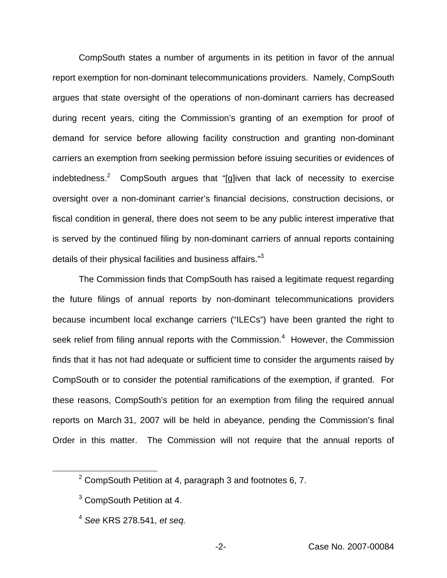CompSouth states a number of arguments in its petition in favor of the annual report exemption for non-dominant telecommunications providers. Namely, CompSouth argues that state oversight of the operations of non-dominant carriers has decreased during recent years, citing the Commission's granting of an exemption for proof of demand for service before allowing facility construction and granting non-dominant carriers an exemption from seeking permission before issuing securities or evidences of indebtedness.<sup>2</sup> CompSouth argues that "[g]iven that lack of necessity to exercise oversight over a non-dominant carrier's financial decisions, construction decisions, or fiscal condition in general, there does not seem to be any public interest imperative that is served by the continued filing by non-dominant carriers of annual reports containing details of their physical facilities and business affairs."<sup>3</sup>

The Commission finds that CompSouth has raised a legitimate request regarding the future filings of annual reports by non-dominant telecommunications providers because incumbent local exchange carriers ("ILECs") have been granted the right to seek relief from filing annual reports with the Commission.<sup>4</sup> However, the Commission finds that it has not had adequate or sufficient time to consider the arguments raised by CompSouth or to consider the potential ramifications of the exemption, if granted. For these reasons, CompSouth's petition for an exemption from filing the required annual reports on March 31, 2007 will be held in abeyance, pending the Commission's final Order in this matter. The Commission will not require that the annual reports of

 $2$  CompSouth Petition at 4, paragraph 3 and footnotes 6, 7.

<sup>3</sup> CompSouth Petition at 4.

<sup>4</sup> *See* KRS 278.541, *et seq.*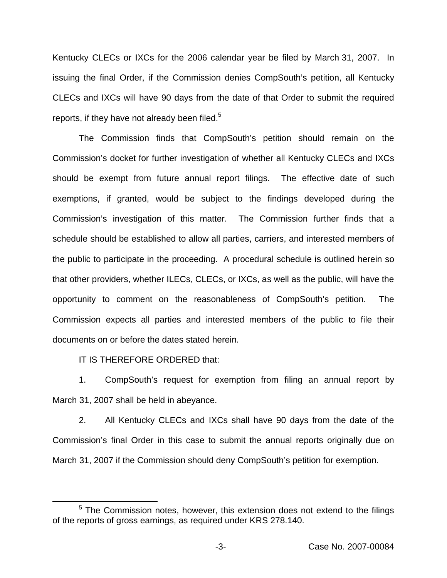Kentucky CLECs or IXCs for the 2006 calendar year be filed by March 31, 2007. In issuing the final Order, if the Commission denies CompSouth's petition, all Kentucky CLECs and IXCs will have 90 days from the date of that Order to submit the required reports, if they have not already been filed.<sup>5</sup>

The Commission finds that CompSouth's petition should remain on the Commission's docket for further investigation of whether all Kentucky CLECs and IXCs should be exempt from future annual report filings. The effective date of such exemptions, if granted, would be subject to the findings developed during the Commission's investigation of this matter. The Commission further finds that a schedule should be established to allow all parties, carriers, and interested members of the public to participate in the proceeding. A procedural schedule is outlined herein so that other providers, whether ILECs, CLECs, or IXCs, as well as the public, will have the opportunity to comment on the reasonableness of CompSouth's petition. The Commission expects all parties and interested members of the public to file their documents on or before the dates stated herein.

IT IS THEREFORE ORDERED that:

1. CompSouth's request for exemption from filing an annual report by March 31, 2007 shall be held in abeyance.

2. All Kentucky CLECs and IXCs shall have 90 days from the date of the Commission's final Order in this case to submit the annual reports originally due on March 31, 2007 if the Commission should deny CompSouth's petition for exemption.

 $5$  The Commission notes, however, this extension does not extend to the filings of the reports of gross earnings, as required under KRS 278.140.